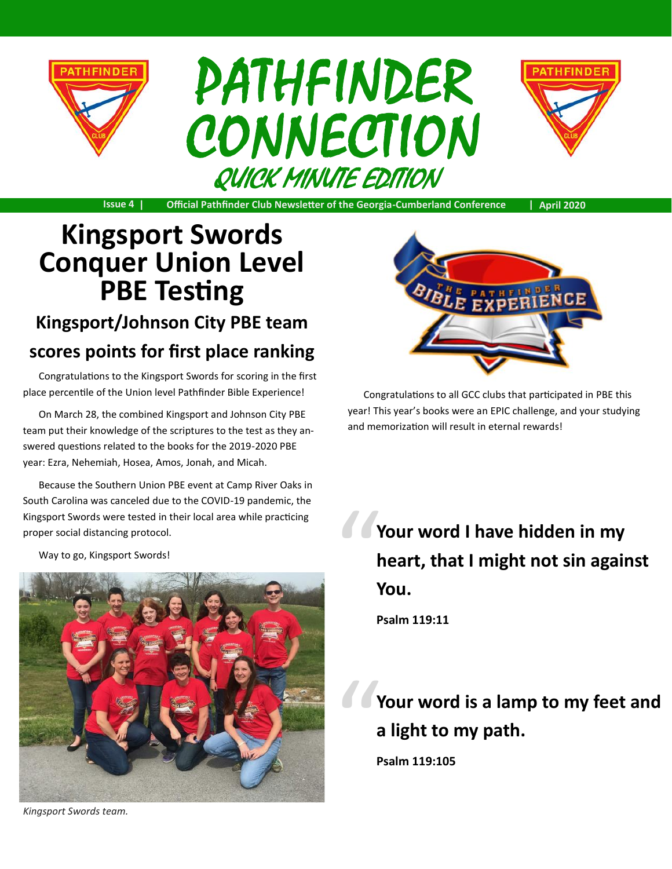





**Issue 4 | Official Pathfinder Club Newsletter of the Georgia-Cumberland Conference | April 2020**

### **Kingsport Swords Conquer Union Level PBE Testing**

## **Kingsport/Johnson City PBE team**

### **scores points for first place ranking**

Congratulations to the Kingsport Swords for scoring in the first place percentile of the Union level Pathfinder Bible Experience!

On March 28, the combined Kingsport and Johnson City PBE team put their knowledge of the scriptures to the test as they answered questions related to the books for the 2019-2020 PBE year: Ezra, Nehemiah, Hosea, Amos, Jonah, and Micah.

Because the Southern Union PBE event at Camp River Oaks in South Carolina was canceled due to the COVID-19 pandemic, the Kingsport Swords were tested in their local area while practicing proper social distancing protocol.

Way to go, Kingsport Swords!





Congratulations to all GCC clubs that participated in PBE this year! This year's books were an EPIC challenge, and your studying and memorization will result in eternal rewards!

" **Your word I have hidden in my heart, that I might not sin against You.**

**Psalm 119:11**

" **Your word is a lamp to my feet and a light to my path.**

**Psalm 119:105**

*Kingsport Swords team.*